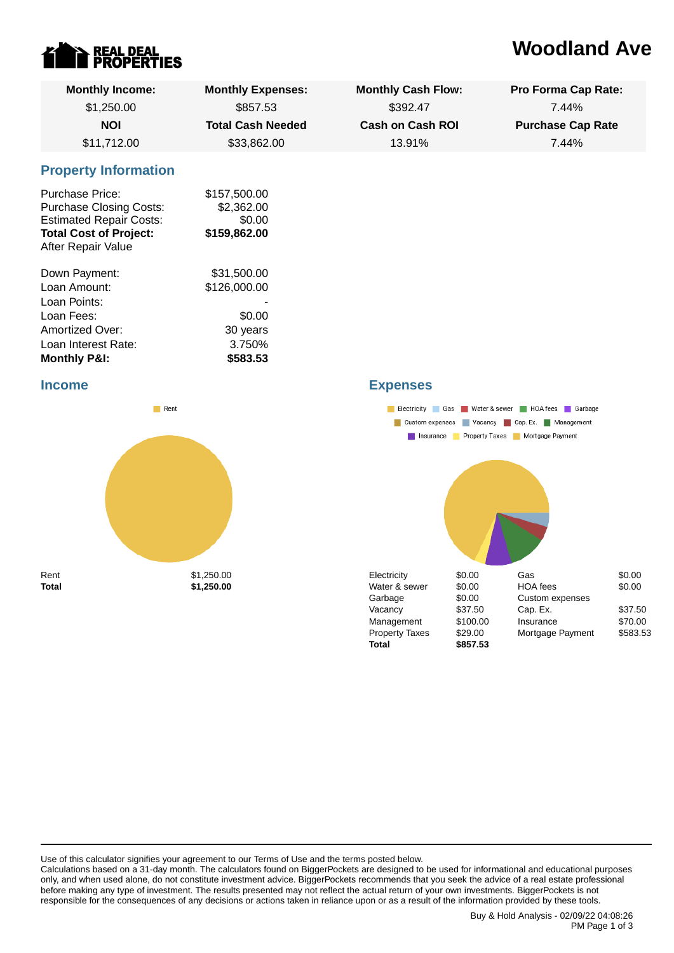

# **Woodland Ave**

| <b>Monthly Income:</b>                                                                                                                     | <b>Monthly Expenses:</b>                             | <b>Monthly Cash Flow:</b> | <b>Pro Forma Cap Rate:</b> |
|--------------------------------------------------------------------------------------------------------------------------------------------|------------------------------------------------------|---------------------------|----------------------------|
| \$1,250.00                                                                                                                                 | \$857.53                                             | \$392.47                  | 7.44%                      |
| <b>NOI</b>                                                                                                                                 | <b>Total Cash Needed</b>                             | <b>Cash on Cash ROI</b>   | <b>Purchase Cap Rate</b>   |
| \$11,712.00                                                                                                                                | \$33,862.00                                          | 13.91%                    | 7.44%                      |
| <b>Property Information</b>                                                                                                                |                                                      |                           |                            |
| Purchase Price:<br><b>Purchase Closing Costs:</b><br><b>Estimated Repair Costs:</b><br><b>Total Cost of Project:</b><br>After Repair Value | \$157,500.00<br>\$2,362.00<br>\$0.00<br>\$159,862.00 |                           |                            |
| Down Payment:                                                                                                                              | \$31,500.00                                          |                           |                            |
| Loan Amount:                                                                                                                               | \$126,000.00                                         |                           |                            |
| Loan Points:                                                                                                                               |                                                      |                           |                            |
| Loan Fees:                                                                                                                                 | \$0.00                                               |                           |                            |
| Amortized Over:                                                                                                                            | 30 years                                             |                           |                            |
| Loan Interest Rate:                                                                                                                        | 3.750%                                               |                           |                            |
| <b>Monthly P&amp;I:</b>                                                                                                                    | \$583.53                                             |                           |                            |

#### **Income**



### **Expenses**



Use of this calculator signifies your agreement to our Terms of Use and the terms posted below.

Calculations based on a 31-day month. The calculators found on BiggerPockets are designed to be used for informational and educational purposes only, and when used alone, do not constitute investment advice. BiggerPockets recommends that you seek the advice of a real estate professional before making any type of investment. The results presented may not reflect the actual return of your own investments. BiggerPockets is not responsible for the consequences of any decisions or actions taken in reliance upon or as a result of the information provided by these tools.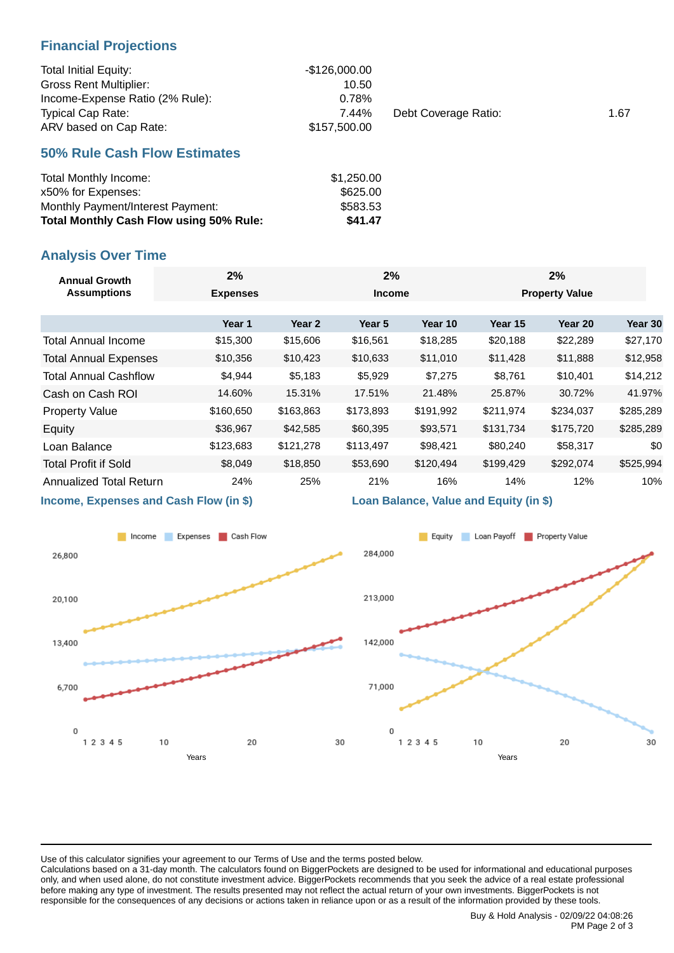### **Financial Projections**

| <b>Total Initial Equity:</b>    | -\$126,000.00 |                      |      |
|---------------------------------|---------------|----------------------|------|
| <b>Gross Rent Multiplier:</b>   | 10.50         |                      |      |
| Income-Expense Ratio (2% Rule): | 0.78%         |                      |      |
| <b>Typical Cap Rate:</b>        | 7.44%         | Debt Coverage Ratio: | 1.67 |
| ARV based on Cap Rate:          | \$157.500.00  |                      |      |

### **50% Rule Cash Flow Estimates**

| Total Monthly Income:                          | \$1,250.00 |
|------------------------------------------------|------------|
| x50% for Expenses:                             | \$625.00   |
| Monthly Payment/Interest Payment:              | \$583.53   |
| <b>Total Monthly Cash Flow using 50% Rule:</b> | \$41.47    |

## **Analysis Over Time**

| <b>Annual Growth</b><br><b>Assumptions</b>                                                                                                                                                                                        | 2%              | 2%        |               | 2%        |                       |           |           |
|-----------------------------------------------------------------------------------------------------------------------------------------------------------------------------------------------------------------------------------|-----------------|-----------|---------------|-----------|-----------------------|-----------|-----------|
|                                                                                                                                                                                                                                   | <b>Expenses</b> |           | <b>Income</b> |           | <b>Property Value</b> |           |           |
|                                                                                                                                                                                                                                   | Year 1          | Year 2    | Year 5        | Year 10   | Year 15               | Year 20   | Year 30   |
| <b>Total Annual Income</b>                                                                                                                                                                                                        | \$15,300        | \$15,606  | \$16,561      | \$18,285  | \$20,188              | \$22,289  | \$27,170  |
| <b>Total Annual Expenses</b>                                                                                                                                                                                                      | \$10,356        | \$10,423  | \$10,633      | \$11,010  | \$11,428              | \$11,888  | \$12,958  |
| <b>Total Annual Cashflow</b>                                                                                                                                                                                                      | \$4,944         | \$5,183   | \$5,929       | \$7,275   | \$8,761               | \$10,401  | \$14,212  |
| Cash on Cash ROI                                                                                                                                                                                                                  | 14.60%          | 15.31%    | 17.51%        | 21.48%    | 25.87%                | 30.72%    | 41.97%    |
| <b>Property Value</b>                                                                                                                                                                                                             | \$160,650       | \$163,863 | \$173,893     | \$191,992 | \$211,974             | \$234,037 | \$285,289 |
| Equity                                                                                                                                                                                                                            | \$36,967        | \$42,585  | \$60,395      | \$93,571  | \$131,734             | \$175,720 | \$285,289 |
| Loan Balance                                                                                                                                                                                                                      | \$123,683       | \$121,278 | \$113,497     | \$98,421  | \$80,240              | \$58,317  | \$0       |
| <b>Total Profit if Sold</b>                                                                                                                                                                                                       | \$8,049         | \$18,850  | \$53,690      | \$120,494 | \$199,429             | \$292,074 | \$525,994 |
| Annualized Total Return                                                                                                                                                                                                           | 24%             | 25%       | 21%           | 16%       | 14%                   | 12%       | 10%       |
| $\mathbf{r}$ . The contract of the contract of the contract of the contract of the contract of the contract of the contract of the contract of the contract of the contract of the contract of the contract of the contract of th |                 |           |               |           |                       |           |           |

**Income, Expenses and Cash Flow (in \$)**



**Loan Balance, Value and Equity (in \$)**



Use of this calculator signifies your agreement to our Terms of Use and the terms posted below.

Calculations based on a 31-day month. The calculators found on BiggerPockets are designed to be used for informational and educational purposes only, and when used alone, do not constitute investment advice. BiggerPockets recommends that you seek the advice of a real estate professional before making any type of investment. The results presented may not reflect the actual return of your own investments. BiggerPockets is not responsible for the consequences of any decisions or actions taken in reliance upon or as a result of the information provided by these tools.